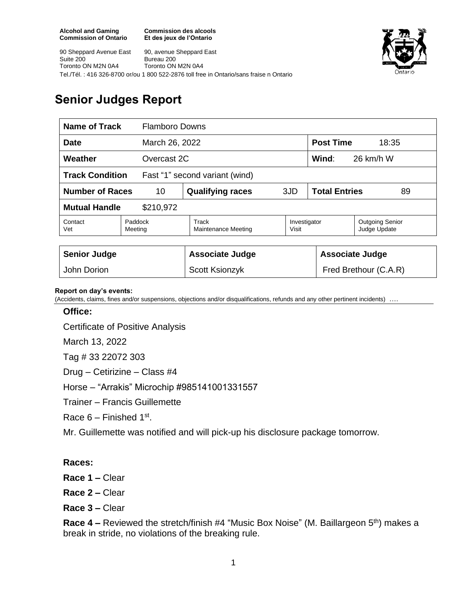**Commission des alcools Et des jeux de l'Ontario**

90 Sheppard Avenue East Suite 200 Toronto ON M2N 0A4 90, avenue Sheppard East Bureau 200 Toronto ON M2N 0A4 Tel./Tél. : 416 326-8700 or/ou 1 800 522-2876 toll free in Ontario/sans fraise n Ontario



## **Senior Judges Report**

| Name of Track                                            |                    | <b>Flamboro Downs</b>        |                       |                            |                                        |
|----------------------------------------------------------|--------------------|------------------------------|-----------------------|----------------------------|----------------------------------------|
| <b>Date</b>                                              |                    | March 26, 2022               |                       | <b>Post Time</b><br>18:35  |                                        |
| Weather<br>Overcast 2C                                   |                    |                              |                       | Wind:<br>26 km/h W         |                                        |
| <b>Track Condition</b><br>Fast "1" second variant (wind) |                    |                              |                       |                            |                                        |
| <b>Number of Races</b><br>10                             |                    | <b>Qualifying races</b>      | 3JD                   | <b>Total Entries</b><br>89 |                                        |
| <b>Mutual Handle</b><br>\$210,972                        |                    |                              |                       |                            |                                        |
| Contact<br>Vet                                           | Paddock<br>Meeting | Track<br>Maintenance Meeting | Investigator<br>Visit |                            | <b>Outgoing Senior</b><br>Judge Update |
|                                                          |                    |                              |                       |                            |                                        |
| <b>Senior Judge</b>                                      |                    | <b>Associate Judge</b>       |                       | <b>Associate Judge</b>     |                                        |
| John Dorion                                              |                    | <b>Scott Ksionzyk</b>        |                       | Fred Brethour (C.A.R)      |                                        |

## **Report on day's events:**

(Accidents, claims, fines and/or suspensions, objections and/or disqualifications, refunds and any other pertinent incidents) ….

## **Office:**

Certificate of Positive Analysis

March 13, 2022

Tag # 33 22072 303

Drug – Cetirizine – Class #4

Horse – "Arrakis" Microchip #985141001331557

Trainer – Francis Guillemette

Race  $6$  – Finished 1st.

Mr. Guillemette was notified and will pick-up his disclosure package tomorrow.

## **Races:**

**Race 1 –** Clear

**Race 2 –** Clear

**Race 3 –** Clear

**Race 4 –** Reviewed the stretch/finish #4 "Music Box Noise" (M. Baillargeon 5<sup>th</sup>) makes a break in stride, no violations of the breaking rule.